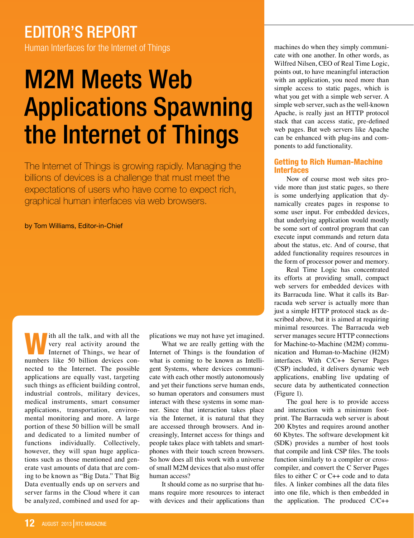# editor's report

Human Interfaces for the Internet of Things

# M2M Meets Web Applications Spawning the Internet of Things

The Internet of Things is growing rapidly. Managing the billions of devices is a challenge that must meet the expectations of users who have come to expect rich, graphical human interfaces via web browsers.

by Tom Williams, Editor-in-Chief

Ith all the talk, and with all the very real activity around the Internet of Things, we hear of very real activity around the numbers like 50 billion devices connected to the Internet. The possible applications are equally vast, targeting such things as efficient building control, industrial controls, military devices, medical instruments, smart consumer applications, transportation, environmental monitoring and more. A large portion of these 50 billion will be small and dedicated to a limited number of functions individually. Collectively, however, they will span huge applications such as those mentioned and generate vast amounts of data that are coming to be known as "Big Data." That Big Data eventually ends up on servers and server farms in the Cloud where it can be analyzed, combined and used for ap-

plications we may not have yet imagined.

What we are really getting with the Internet of Things is the foundation of what is coming to be known as Intelligent Systems, where devices communicate with each other mostly autonomously and yet their functions serve human ends, so human operators and consumers must interact with these systems in some manner. Since that interaction takes place via the Internet, it is natural that they are accessed through browsers. And increasingly, Internet access for things and people takes place with tablets and smartphones with their touch screen browsers. So how does all this work with a universe of small M2M devices that also must offer human access?

It should come as no surprise that humans require more resources to interact with devices and their applications than machines do when they simply communicate with one another. In other words, as Wilfred Nilsen, CEO of Real Time Logic, points out, to have meaningful interaction with an application, you need more than simple access to static pages, which is what you get with a simple web server. A simple web server, such as the well-known Apache, is really just an HTTP protocol stack that can access static, pre-defined web pages. But web servers like Apache can be enhanced with plug-ins and components to add functionality.

## Getting to Rich Human-Machine Interfaces

Now of course most web sites provide more than just static pages, so there is some underlying application that dynamically creates pages in response to some user input. For embedded devices, that underlying application would mostly be some sort of control program that can execute input commands and return data about the status, etc. And of course, that added functionality requires resources in the form of processor power and memory.

Real Time Logic has concentrated its efforts at providing small, compact web servers for embedded devices with its Barracuda line. What it calls its Barracuda web server is actually more than just a simple HTTP protocol stack as described above, but it is aimed at requiring minimal resources. The Barracuda web server manages secure HTTP connections for Machine-to-Machine (M2M) communication and Human-to-Machine (H2M) interfaces. With C/C++ Server Pages (CSP) included, it delivers dynamic web applications, enabling live updating of secure data by authenticated connection (Figure 1).

The goal here is to provide access and interaction with a minimum footprint. The Barracuda web server is about 200 Kbytes and requires around another 60 Kbytes. The software development kit (SDK) provides a number of host tools that compile and link CSP files. The tools function similarly to a compiler or crosscompiler, and convert the C Server Pages files to either C or C++ code and to data files. A linker combines all the data files into one file, which is then embedded in the application. The produced C/C++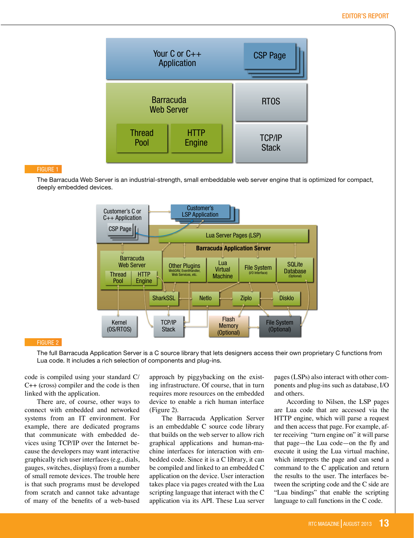

### Figure 1

The Barracuda Web Server is an industrial-strength, small embeddable web server engine that is optimized for compact, deeply embedded devices.



#### Figure 2

The full Barracuda Application Server is a C source library that lets designers access their own proprietary C functions from Lua code. It includes a rich selection of components and plug-ins.

code is compiled using your standard C/ C++ (cross) compiler and the code is then linked with the application.

There are, of course, other ways to connect with embedded and networked systems from an IT environment. For example, there are dedicated programs that communicate with embedded devices using TCP/IP over the Internet because the developers may want interactive graphically rich user interfaces (e.g., dials, gauges, switches, displays) from a number of small remote devices. The trouble here is that such programs must be developed from scratch and cannot take advantage of many of the benefits of a web-based

approach by piggybacking on the existing infrastructure. Of course, that in turn requires more resources on the embedded device to enable a rich human interface (Figure 2).

The Barracuda Application Server is an embeddable C source code library that builds on the web server to allow rich graphical applications and human-machine interfaces for interaction with embedded code. Since it is a C library, it can be compiled and linked to an embedded C application on the device. User interaction takes place via pages created with the Lua scripting language that interact with the C application via its API. These Lua server pages (LSPs) also interact with other components and plug-ins such as database, I/O and others.

According to Nilsen, the LSP pages are Lua code that are accessed via the HTTP engine, which will parse a request and then access that page. For example, after receiving "turn engine on" it will parse that page—the Lua code—on the fly and execute it using the Lua virtual machine, which interprets the page and can send a command to the C application and return the results to the user. The interfaces between the scripting code and the C side are "Lua bindings" that enable the scripting language to call functions in the C code.